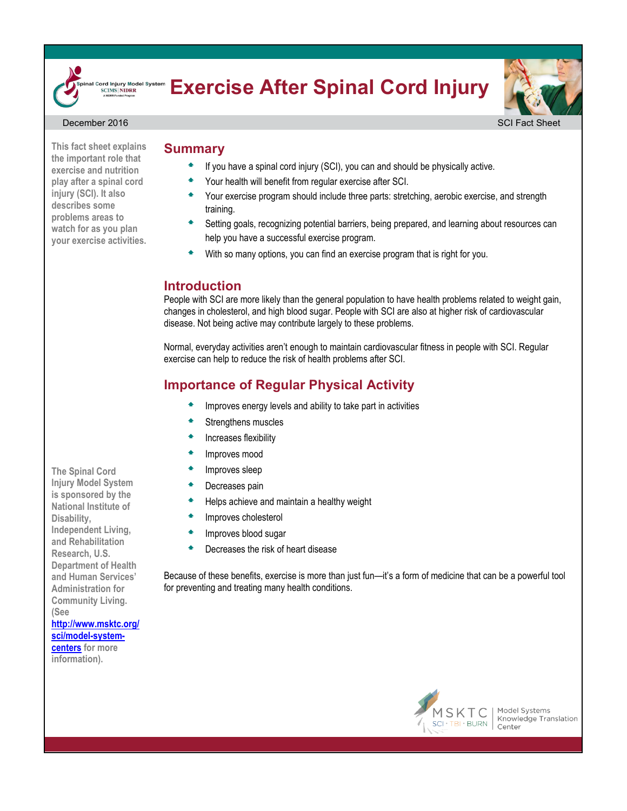

### **Exercise After Spinal Cord Injury** ord Injury Model System<br>SCIMS|NIDRR

Your health will benefit from regular exercise after SCI.



#### December 2016 SCI Fact Sheet Sheet Sheet Sheet Sheet Sheet Sheet Sheet Sheet Sheet Sheet Sheet Sheet Sheet Sheet

# **This fact sheet explains the important role that Summary**

**exercise and nutrition play after a spinal cord injury (SCI). It also describes some problems areas to watch for as you plan your exercise activities.** 

### training. Setting goals, recognizing potential barriers, being prepared, and learning about resources can help you have a successful exercise program.

With so many options, you can find an exercise program that is right for you.

If you have a spinal cord injury (SCI), you can and should be physically active.

Your exercise program should include three parts: stretching, aerobic exercise, and strength

## **Introduction**

People with SCI are more likely than the general population to have health problems related to weight gain, changes in cholesterol, and high blood sugar. People with SCI are also at higher risk of cardiovascular disease. Not being active may contribute largely to these problems.

Normal, everyday activities aren't enough to maintain cardiovascular fitness in people with SCI. Regular exercise can help to reduce the risk of health problems after SCI.

# **Importance of Regular Physical Activity**

- Improves energy levels and ability to take part in activities
- Strengthens muscles
- Increases flexibility
- Improves mood
- Improves sleep
- Decreases pain
- Helps achieve and maintain a healthy weight
- Improves cholesterol
- **The Improves blood sugar**
- **▲** Decreases the risk of heart disease

Because of these benefits, exercise is more than just fun—it's a form of medicine that can be a powerful tool for preventing and treating many health conditions.



Model Systems Knowledge Translation Center

**The Spinal Cord Injury Model System is sponsored by the National Institute of Disability, Independent Living, and Rehabilitation Research, U.S. Department of Health and Human Services' Administration for Community Living. (See [http://www.msktc.org/](http://www.msktc.org/sci/model-system-centers) [sci/model-system](http://www.msktc.org/sci/model-system-centers)[centers](http://www.msktc.org/sci/model-system-centers) for more information).**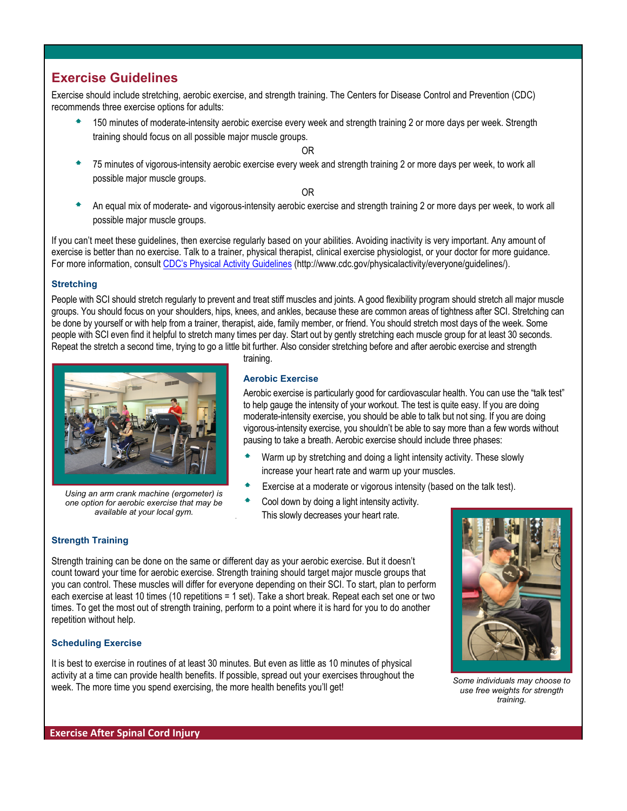## **Exercise Guidelines**

Exercise should include stretching, aerobic exercise, and strength training. The Centers for Disease Control and Prevention (CDC) recommends three exercise options for adults:

 150 minutes of moderate-intensity aerobic exercise every week and strength training 2 or more days per week. Strength training should focus on all possible major muscle groups.

OR

 75 minutes of vigorous-intensity aerobic exercise every week and strength training 2 or more days per week, to work all possible major muscle groups.

OR

 An equal mix of moderate- and vigorous-intensity aerobic exercise and strength training 2 or more days per week, to work all possible major muscle groups.

If you can't meet these guidelines, then exercise regularly based on your abilities. Avoiding inactivity is very important. Any amount of exercise is better than no exercise. Talk to a trainer, physical therapist, clinical exercise physiologist, or your doctor for more guidance. For more information, consult CDC's [Physical Activity Guidelines](http://www.cdc.gov/physicalactivity/everyone/guidelines/) (http://www.cdc.gov/physicalactivity/everyone/guidelines/).

### **Stretching**

People with SCI should stretch regularly to prevent and treat stiff muscles and joints. A good flexibility program should stretch all major muscle groups. You should focus on your shoulders, hips, knees, and ankles, because these are common areas of tightness after SCI. Stretching can be done by yourself or with help from a trainer, therapist, aide, family member, or friend. You should stretch most days of the week. Some people with SCI even find it helpful to stretch many times per day. Start out by gently stretching each muscle group for at least 30 seconds. Repeat the stretch a second time, trying to go a little bit further. Also consider stretching before and after aerobic exercise and strength



*Using an arm crank machine (ergometer) is one option for aerobic exercise that may be available at your local gym.*

training.

### **Aerobic Exercise**

Aerobic exercise is particularly good for cardiovascular health. You can use the "talk test" to help gauge the intensity of your workout. The test is quite easy. If you are doing moderate-intensity exercise, you should be able to talk but not sing. If you are doing vigorous-intensity exercise, you shouldn't be able to say more than a few words without pausing to take a breath. Aerobic exercise should include three phases:

- Warm up by stretching and doing a light intensity activity. These slowly increase your heart rate and warm up your muscles.
- Exercise at a moderate or vigorous intensity (based on the talk test).
- Cool down by doing a light intensity activity. This slowly decreases your heart rate.

### **Strength Training**

Strength training can be done on the same or different day as your aerobic exercise. But it doesn't count toward your time for aerobic exercise. Strength training should target major muscle groups that you can control. These muscles will differ for everyone depending on their SCI. To start, plan to perform each exercise at least 10 times (10 repetitions = 1 set). Take a short break. Repeat each set one or two times. To get the most out of strength training, perform to a point where it is hard for you to do another repetition without help.

### **Scheduling Exercise**

It is best to exercise in routines of at least 30 minutes. But even as little as 10 minutes of physical activity at a time can provide health benefits. If possible, spread out your exercises throughout the week. The more time you spend exercising, the more health benefits you'll get! *Some individuals may choose to* 



*use free weights for strength training.*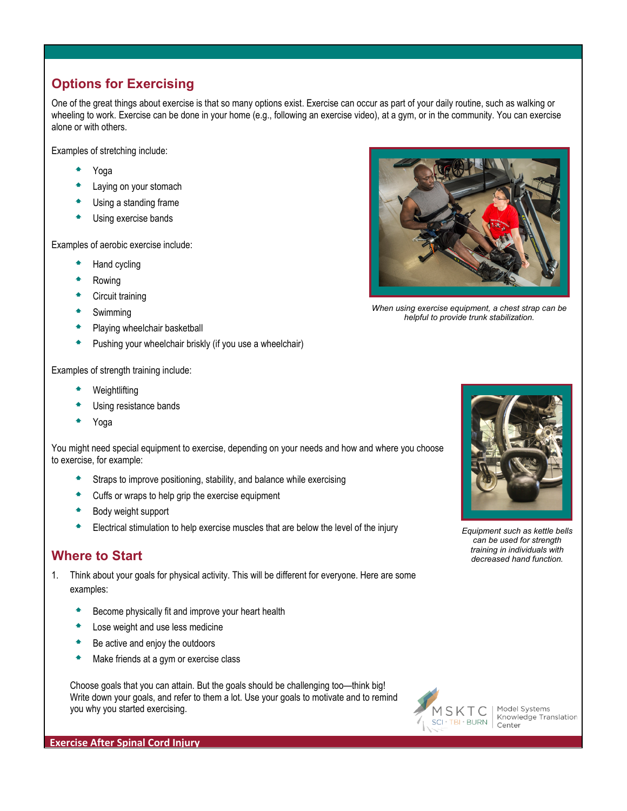# **Options for Exercising**

One of the great things about exercise is that so many options exist. Exercise can occur as part of your daily routine, such as walking or wheeling to work. Exercise can be done in your home (e.g., following an exercise video), at a gym, or in the community. You can exercise alone or with others.

Examples of stretching include:

- Yoga
- Laying on your stomach
- Using a standing frame
- Using exercise bands

Examples of aerobic exercise include:

- Hand cycling
- Rowing
- Circuit training
- Swimming
- Playing wheelchair basketball
- Pushing your wheelchair briskly (if you use a wheelchair)



*When using exercise equipment, a chest strap can be helpful to provide trunk stabilization.*

Examples of strength training include:

- Weightlifting
- Using resistance bands
- Yoga

You might need special equipment to exercise, depending on your needs and how and where you choose to exercise, for example:

- Straps to improve positioning, stability, and balance while exercising
- Cuffs or wraps to help grip the exercise equipment
- Body weight support
- Electrical stimulation to help exercise muscles that are below the level of the injury *Equipment such as kettle bells*

## *training in individuals with* **Where to Start** *decreased hand function.*

- 1. Think about your goals for physical activity. This will be different for everyone. Here are some examples:
	- Become physically fit and improve your heart health
	- Lose weight and use less medicine
	- Be active and enjoy the outdoors
	- Make friends at a gym or exercise class

Choose goals that you can attain. But the goals should be challenging too—think big! Write down your goals, and refer to them a lot. Use your goals to motivate and to remind you why you started exercising.



Model Systems Knowledge Translation Center

*can be used for strength* 

**Exercise After Spinal Cord Injury**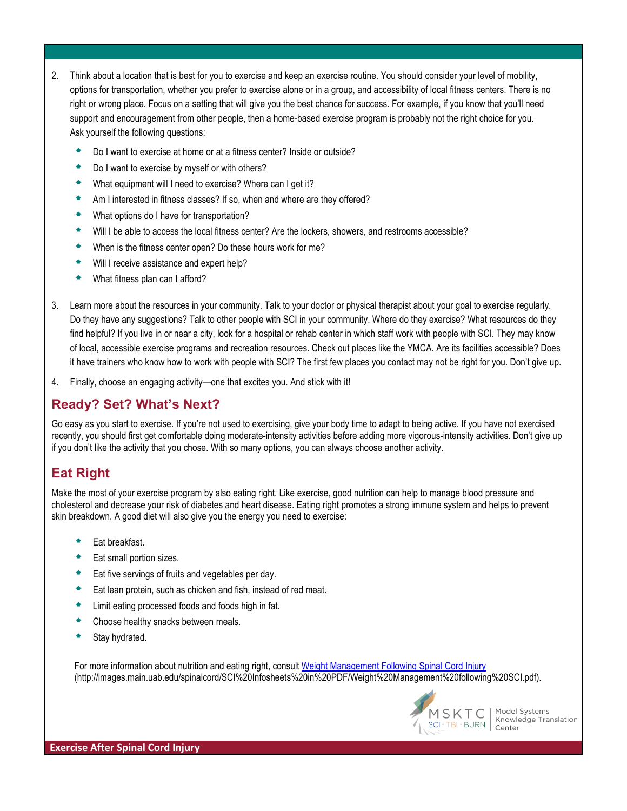- 2. Think about a location that is best for you to exercise and keep an exercise routine. You should consider your level of mobility, options for transportation, whether you prefer to exercise alone or in a group, and accessibility of local fitness centers. There is no right or wrong place. Focus on a setting that will give you the best chance for success. For example, if you know that you'll need support and encouragement from other people, then a home-based exercise program is probably not the right choice for you. Ask yourself the following questions:
	- Do I want to exercise at home or at a fitness center? Inside or outside?
	- Do I want to exercise by myself or with others?
	- What equipment will I need to exercise? Where can I get it?
	- Am I interested in fitness classes? If so, when and where are they offered?
	- What options do I have for transportation?
	- Will I be able to access the local fitness center? Are the lockers, showers, and restrooms accessible?
	- When is the fitness center open? Do these hours work for me?
	- Will I receive assistance and expert help?
	- What fitness plan can I afford?
- 3. Learn more about the resources in your community. Talk to your doctor or physical therapist about your goal to exercise regularly. Do they have any suggestions? Talk to other people with SCI in your community. Where do they exercise? What resources do they find helpful? If you live in or near a city, look for a hospital or rehab center in which staff work with people with SCI. They may know of local, accessible exercise programs and recreation resources. Check out places like the YMCA. Are its facilities accessible? Does it have trainers who know how to work with people with SCI? The first few places you contact may not be right for you. Don't give up.
- 4. Finally, choose an engaging activity—one that excites you. And stick with it!

## **Ready? Set? What's Next?**

Go easy as you start to exercise. If you're not used to exercising, give your body time to adapt to being active. If you have not exercised recently, you should first get comfortable doing moderate-intensity activities before adding more vigorous-intensity activities. Don't give up if you don't like the activity that you chose. With so many options, you can always choose another activity.

# **Eat Right**

Make the most of your exercise program by also eating right. Like exercise, good nutrition can help to manage blood pressure and cholesterol and decrease your risk of diabetes and heart disease. Eating right promotes a strong immune system and helps to prevent skin breakdown. A good diet will also give you the energy you need to exercise:

- Eat breakfast.
- Eat small portion sizes.
- Eat five servings of fruits and vegetables per day.
- Eat lean protein, such as chicken and fish, instead of red meat.
- Limit eating processed foods and foods high in fat.
- Choose healthy snacks between meals.
- Stay hydrated.

For more information about nutrition and eating right, consult [Weight Management Following Spinal Cord Injury](http://images.main.uab.edu/spinalcord/SCI%20Infosheets%20in%20PDF/Weight%20Management%20following%20SCI.pdf) (http://images.main.uab.edu/spinalcord/SCI%20Infosheets%20in%20PDF/Weight%20Management%20following%20SCI.pdf).



Model Systems Knowledge Translation Center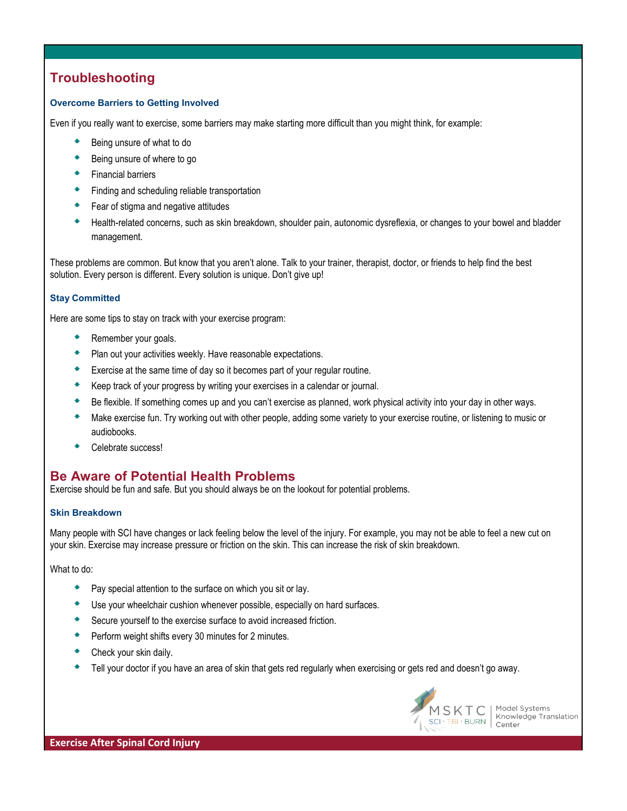# **Troubleshooting**

### **Overcome Barriers to Getting Involved**

Even if you really want to exercise, some barriers may make starting more difficult than you might think, for example:

- Being unsure of what to do
- **▲** Being unsure of where to go
- **Financial barriers**
- Finding and scheduling reliable transportation
- Fear of stigma and negative attitudes
- Health-related concerns, such as skin breakdown, shoulder pain, autonomic dysreflexia, or changes to your bowel and bladder management.

These problems are common. But know that you aren't alone. Talk to your trainer, therapist, doctor, or friends to help find the best solution. Every person is different. Every solution is unique. Don't give up!

### **Stay Committed**

Here are some tips to stay on track with your exercise program:

- Remember your goals.
- **Plan out your activities weekly. Have reasonable expectations.**
- Exercise at the same time of day so it becomes part of your regular routine.
- ◆ Keep track of your progress by writing your exercises in a calendar or journal.
- <sup>▲</sup> Be flexible. If something comes up and you can't exercise as planned, work physical activity into your day in other ways.
- Make exercise fun. Try working out with other people, adding some variety to your exercise routine, or listening to music or audiobooks.
- Celebrate success!

## **Be Aware of Potential Health Problems**

Exercise should be fun and safe. But you should always be on the lookout for potential problems.

### **Skin Breakdown**

Many people with SCI have changes or lack feeling below the level of the injury. For example, you may not be able to feel a new cut on your skin. Exercise may increase pressure or friction on the skin. This can increase the risk of skin breakdown.

What to do:

- Pay special attention to the surface on which you sit or lay.
- <sup>▲</sup> Use your wheelchair cushion whenever possible, especially on hard surfaces.
- <sup>▲</sup> Secure yourself to the exercise surface to avoid increased friction.
- **Perform weight shifts every 30 minutes for 2 minutes.**
- **Check your skin daily.**
- Tell your doctor if you have an area of skin that gets red regularly when exercising or gets red and doesn't go away.



Model Systems Knowledge Translation Center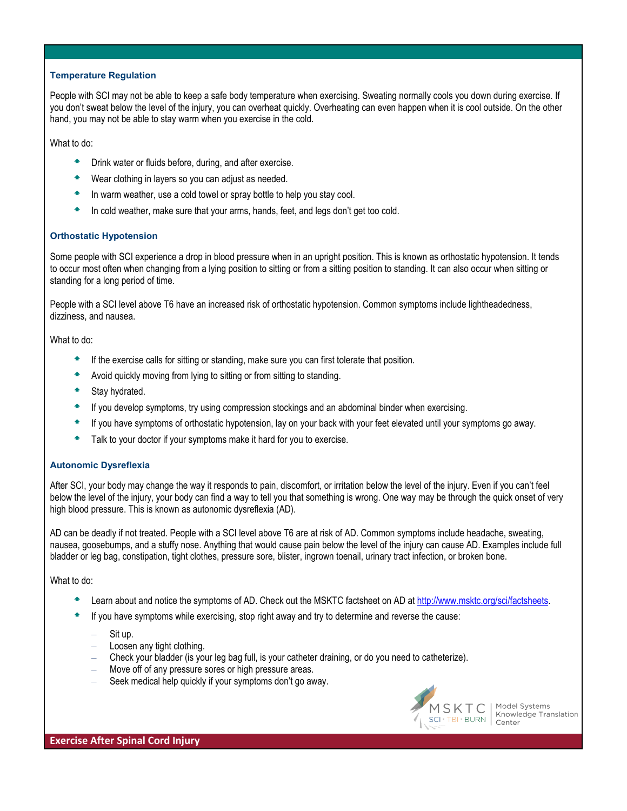#### **Temperature Regulation**

People with SCI may not be able to keep a safe body temperature when exercising. Sweating normally cools you down during exercise. If you don't sweat below the level of the injury, you can overheat quickly. Overheating can even happen when it is cool outside. On the other hand, you may not be able to stay warm when you exercise in the cold.

What to do:

- Drink water or fluids before, during, and after exercise.
- Wear clothing in layers so you can adjust as needed.
- In warm weather, use a cold towel or spray bottle to help you stay cool.
- In cold weather, make sure that your arms, hands, feet, and legs don't get too cold.

#### **Orthostatic Hypotension**

Some people with SCI experience a drop in blood pressure when in an upright position. This is known as orthostatic hypotension. It tends to occur most often when changing from a lying position to sitting or from a sitting position to standing. It can also occur when sitting or standing for a long period of time.

People with a SCI level above T6 have an increased risk of orthostatic hypotension. Common symptoms include lightheadedness, dizziness, and nausea.

What to do:

- If the exercise calls for sitting or standing, make sure you can first tolerate that position.
- Avoid quickly moving from lying to sitting or from sitting to standing.
- Stay hydrated.
- $\bullet$  If you develop symptoms, try using compression stockings and an abdominal binder when exercising.
- If you have symptoms of orthostatic hypotension, lay on your back with your feet elevated until your symptoms go away.
- Talk to your doctor if your symptoms make it hard for you to exercise.

### **Autonomic Dysreflexia**

After SCI, your body may change the way it responds to pain, discomfort, or irritation below the level of the injury. Even if you can't feel below the level of the injury, your body can find a way to tell you that something is wrong. One way may be through the quick onset of very high blood pressure. This is known as autonomic dysreflexia (AD).

AD can be deadly if not treated. People with a SCI level above T6 are at risk of AD. Common symptoms include headache, sweating, nausea, goosebumps, and a stuffy nose. Anything that would cause pain below the level of the injury can cause AD. Examples include full bladder or leg bag, constipation, tight clothes, pressure sore, blister, ingrown toenail, urinary tract infection, or broken bone.

What to do:

- Learn about and notice the symptoms of AD. Check out the MSKTC factsheet on AD at http://www.msktc.org/sci/factsheets.
- If you have symptoms while exercising, stop right away and try to determine and reverse the cause:
	- Sit up.
	- Loosen any tight clothing.
	- Check your bladder (is your leg bag full, is your catheter draining, or do you need to catheterize).
	- Move off of any pressure sores or high pressure areas.
	- Seek medical help quickly if your symptoms don't go away.



Model Systems Knowledge Translation Center